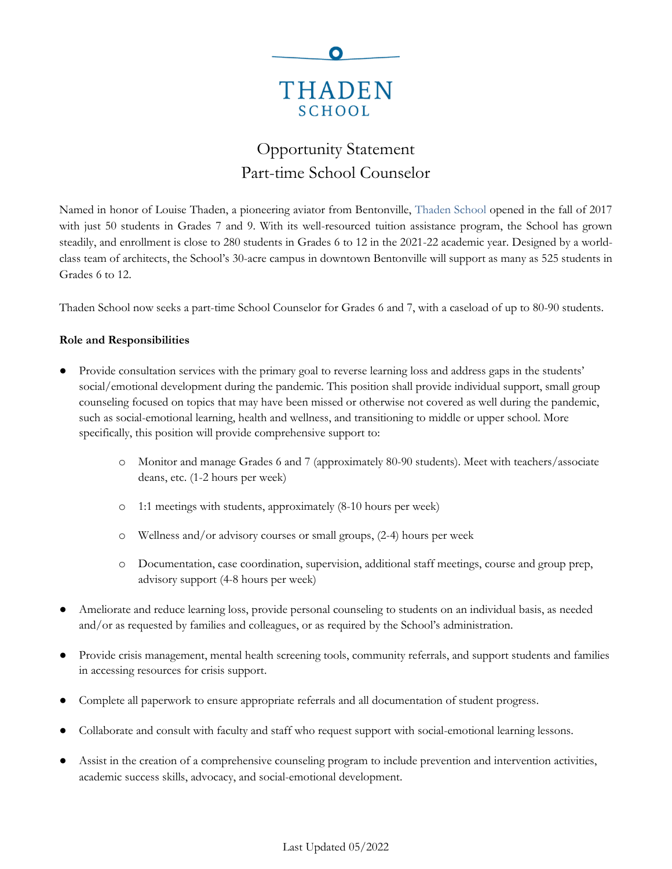

# Opportunity Statement Part-time School Counselor

Named in honor of Louise Thaden, a pioneering aviator from Bentonville, [Thaden School](https://thadenschool.org/) opened in the fall of 2017 with just 50 students in Grades 7 and 9. With its well-resourced tuition assistance program, the School has grown steadily, and enrollment is close to 280 students in Grades 6 to 12 in the 2021-22 academic year. Designed by a worldclass team of architects, the School's 30-acre campus in downtown Bentonville will support as many as 525 students in Grades 6 to 12.

Thaden School now seeks a part-time School Counselor for Grades 6 and 7, with a caseload of up to 80-90 students.

## **Role and Responsibilities**

- Provide consultation services with the primary goal to reverse learning loss and address gaps in the students' social/emotional development during the pandemic. This position shall provide individual support, small group counseling focused on topics that may have been missed or otherwise not covered as well during the pandemic, such as social-emotional learning, health and wellness, and transitioning to middle or upper school. More specifically, this position will provide comprehensive support to:
	- o Monitor and manage Grades 6 and 7 (approximately 80-90 students). Meet with teachers/associate deans, etc. (1-2 hours per week)
	- o 1:1 meetings with students, approximately (8-10 hours per week)
	- o Wellness and/or advisory courses or small groups, (2-4) hours per week
	- o Documentation, case coordination, supervision, additional staff meetings, course and group prep, advisory support (4-8 hours per week)
- Ameliorate and reduce learning loss, provide personal counseling to students on an individual basis, as needed and/or as requested by families and colleagues, or as required by the School's administration.
- Provide crisis management, mental health screening tools, community referrals, and support students and families in accessing resources for crisis support.
- Complete all paperwork to ensure appropriate referrals and all documentation of student progress.
- Collaborate and consult with faculty and staff who request support with social-emotional learning lessons.
- Assist in the creation of a comprehensive counseling program to include prevention and intervention activities, academic success skills, advocacy, and social-emotional development.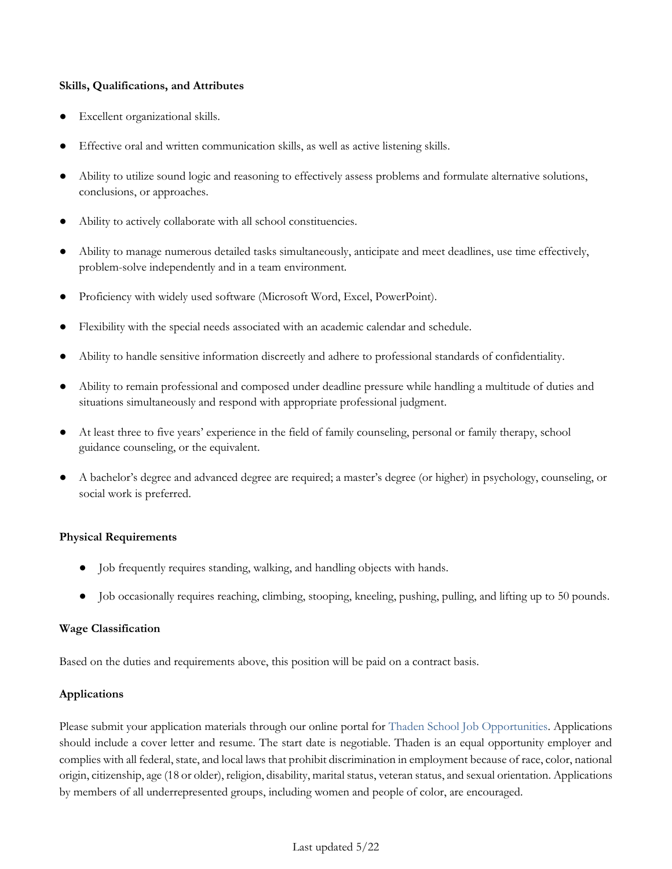#### **Skills, Qualifications, and Attributes**

- Excellent organizational skills.
- Effective oral and written communication skills, as well as active listening skills.
- Ability to utilize sound logic and reasoning to effectively assess problems and formulate alternative solutions, conclusions, or approaches.
- Ability to actively collaborate with all school constituencies.
- Ability to manage numerous detailed tasks simultaneously, anticipate and meet deadlines, use time effectively, problem-solve independently and in a team environment.
- Proficiency with widely used software (Microsoft Word, Excel, PowerPoint).
- Flexibility with the special needs associated with an academic calendar and schedule.
- Ability to handle sensitive information discreetly and adhere to professional standards of confidentiality.
- Ability to remain professional and composed under deadline pressure while handling a multitude of duties and situations simultaneously and respond with appropriate professional judgment.
- At least three to five years' experience in the field of family counseling, personal or family therapy, school guidance counseling, or the equivalent.
- A bachelor's degree and advanced degree are required; a master's degree (or higher) in psychology, counseling, or social work is preferred.

### **Physical Requirements**

- Job frequently requires standing, walking, and handling objects with hands.
- Job occasionally requires reaching, climbing, stooping, kneeling, pushing, pulling, and lifting up to 50 pounds.

### **Wage Classification**

Based on the duties and requirements above, this position will be paid on a contract basis.

### **Applications**

Please submit your application materials through our online portal for [Thaden School Job Opportunities.](https://www.paycomonline.net/v4/ats/web.php/jobs?clientkey=E412B6EED165D3FD16DB0FF91E74B10C&session_nonce=915852c58367eb064b1ae3ce5464ff79) Applications should include a cover letter and resume. The start date is negotiable. Thaden is an equal opportunity employer and complies with all federal, state, and local laws that prohibit discrimination in employment because of race, color, national origin, citizenship, age (18 or older), religion, disability, marital status, veteran status, and sexual orientation. Applications by members of all underrepresented groups, including women and people of color, are encouraged.